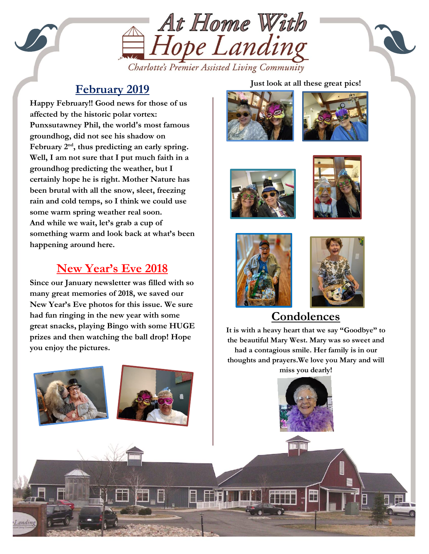

Charlotte's Premier Assisted Living Community

### **February 2019**

groundhog predicting the weather, but I<br>cortainly bone he is right. Mother Nature **Happy February!! Good news for those of us affected by the historic polar vortex: Punxsutawney Phil, the world's most famous groundhog, did not see his shadow on February 2nd , thus predicting an early spring. Well, I am not sure that I put much faith in a certainly hope he is right. Mother Nature has been brutal with all the snow, sleet, freezing rain and cold temps, so I think we could use some warm spring weather real soon. And while we wait, let's grab a cup of something warm and look back at what's been happening around here.**

# **New Year's Eve 2018**

**Since our January newsletter was filled with so many great memories of 2018, we saved our New Year's Eve photos for this issue. We sure had fun ringing in the new year with some great snacks, playing Bingo with some HUGE prizes and then watching the ball drop! Hope you enjoy the pictures.**

#### **Just look at all these great pics!**













# **Condolences**

thoughts and prayers.We love you Mary and will<br>miss you dearly **It is with a heavy heart that we say "Goodbye" to the beautiful Mary West. Mary was so sweet and had a contagious smile. Her family is in our miss you dearly!**